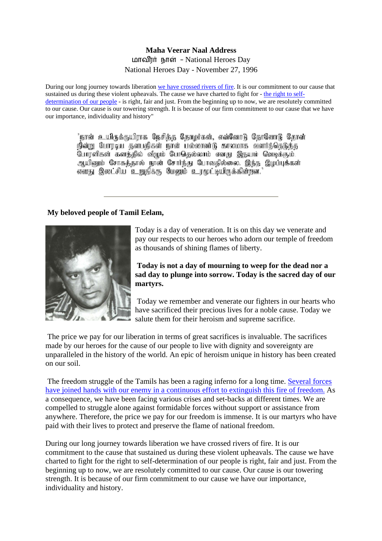## **Maha Veerar Naal Address**  மாவீரர் நாள் - National Heroes Day National Heroes Day - November 27, 1996

During our long journey towards liberation we have [crossed rivers of fire.](http://www.tamilnation.org/indictment/index.htm) It is our commitment to our cause that sustained us during these violent upheavals. The cause we have charted to fight for - [the right to self](http://www.tamilnation.org/selfdetermination/tamileelam/index.htm)[determination of our people](http://www.tamilnation.org/selfdetermination/tamileelam/index.htm) - is right, fair and just. From the beginning up to now, we are resolutely committed to our cause. Our cause is our towering strength. It is because of our firm commitment to our cause that we have our importance, individuality and history"

> 'நான் உயிருக்குயிராக நேசிக்கு கோழர்கள், என்னோடு தோளோடு கோள் நின்று போரடிய தனயகிகள் நான் பல்லாண்டு காலமாக வளர்த்தெடுக்கு போரளிகள் களத்தில் விழும் போதெல்லாம் எனது இதயம் வெடிக்கும். ஆயினும் சோகத்தால் நான் சோர்ந்து போவதில்லை. இந்த இழப்புக்கள் எனது இலட்சிய உறுதிக்கு மேலும் உரமுட்டியிருக்கின்றன."

## **My beloved people of Tamil Eelam,**



Today is a day of veneration. It is on this day we venerate and pay our respects to our heroes who adorn our temple of freedom as thousands of shining flames of liberty.

**Today is not a day of mourning to weep for the dead nor a sad day to plunge into sorrow. Today is the sacred day of our martyrs.**

 Today we remember and venerate our fighters in our hearts who have sacrificed their precious lives for a noble cause. Today we salute them for their heroism and supreme sacrifice.

 The price we pay for our liberation in terms of great sacrifices is invaluable. The sacrifices made by our heroes for the cause of our people to live with dignity and sovereignty are unparalleled in the history of the world. An epic of heroism unique in history has been created on our soil.

 The freedom struggle of the Tamils has been a raging inferno for a long time. [Several forces](http://www.tamilnation.org/tamileelam/aid/index.htm)  [have joined hands with our enemy in a continuous effort to extinguish this fire of freedom.](http://www.tamilnation.org/tamileelam/aid/index.htm) As a consequence, we have been facing various crises and set-backs at different times. We are compelled to struggle alone against formidable forces without support or assistance from anywhere. Therefore, the price we pay for our freedom is immense. It is our martyrs who have paid with their lives to protect and preserve the flame of national freedom.

During our long journey towards liberation we have crossed rivers of fire. It is our commitment to the cause that sustained us during these violent upheavals. The cause we have charted to fight for the right to self-determination of our people is right, fair and just. From the beginning up to now, we are resolutely committed to our cause. Our cause is our towering strength. It is because of our firm commitment to our cause we have our importance, individuality and history.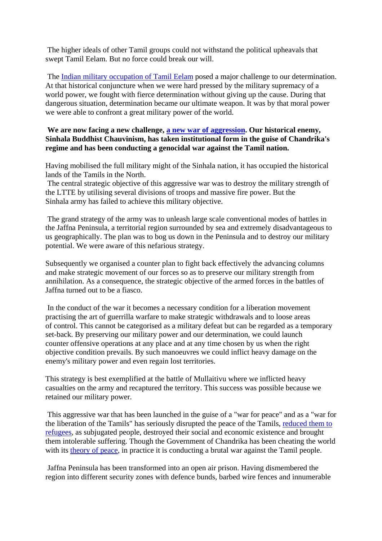The higher ideals of other Tamil groups could not withstand the political upheavals that swept Tamil Eelam. But no force could break our will.

 The [Indian military occupation of Tamil Eelam](http://www.tamilnation.org/intframe/india/880430ltte.htm) posed a major challenge to our determination. At that historical conjuncture when we were hard pressed by the military supremacy of a world power, we fought with fierce determination without giving up the cause. During that dangerous situation, determination became our ultimate weapon. It was by that moral power we were able to confront a great military power of the world.

## **We are now facing a new challenge, [a new war of aggression.](http://www.tamilnation.org/indictment/genocide95/index.htm) Our historical enemy, Sinhala Buddhist Chauvinism, has taken institutional form in the guise of Chandrika's regime and has been conducting a genocidal war against the Tamil nation.**

Having mobilised the full military might of the Sinhala nation, it has occupied the historical lands of the Tamils in the North.

 The central strategic objective of this aggressive war was to destroy the military strength of the LTTE by utilising several divisions of troops and massive fire power. But the Sinhala army has failed to achieve this military objective.

 The grand strategy of the army was to unleash large scale conventional modes of battles in the Jaffna Peninsula, a territorial region surrounded by sea and extremely disadvantageous to us geographically. The plan was to bog us down in the Peninsula and to destroy our military potential. We were aware of this nefarious strategy.

Subsequently we organised a counter plan to fight back effectively the advancing columns and make strategic movement of our forces so as to preserve our military strength from annihilation. As a consequence, the strategic objective of the armed forces in the battles of Jaffna turned out to be a fiasco.

 In the conduct of the war it becomes a necessary condition for a liberation movement practising the art of guerrilla warfare to make strategic withdrawals and to loose areas of control. This cannot be categorised as a military defeat but can be regarded as a temporary set-back. By preserving our military power and our determination, we could launch counter offensive operations at any place and at any time chosen by us when the right objective condition prevails. By such manoeuvres we could inflict heavy damage on the enemy's military power and even regain lost territories.

This strategy is best exemplified at the battle of Mullaitivu where we inflicted heavy casualties on the army and recaptured the territory. This success was possible because we retained our military power.

 This aggressive war that has been launched in the guise of a "war for peace" and as a "war for the liberation of the Tamils" has seriously disrupted the peace of the Tamils, [reduced them to](http://www.tamilnation.org/indictment/genocide95/gen95026.htm)  [refugees,](http://www.tamilnation.org/indictment/genocide95/gen95026.htm) as subjugated people, destroyed their social and economic existence and brought them intolerable suffering. Though the Government of Chandrika has been cheating the world with its [theory of peace,](http://www.tamilnation.org/conflictresolution/tamileelam/cbkproposals/index.htm) in practice it is conducting a brutal war against the Tamil people.

 Jaffna Peninsula has been transformed into an open air prison. Having dismembered the region into different security zones with defence bunds, barbed wire fences and innumerable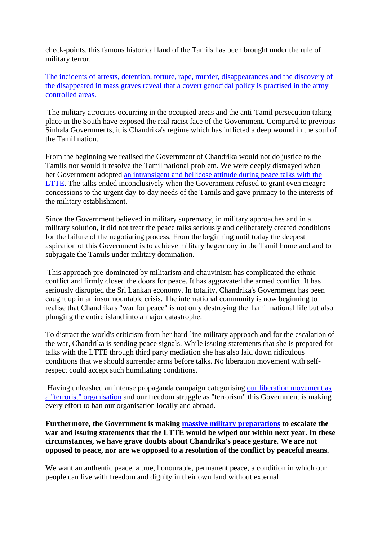check-points, this famous historical land of the Tamils has been brought under the rule of military terror.

[The incidents of arrests, detention, torture, rape, murder, disappearances and the discovery of](http://www.tamilnation.org/indictment/genocide95/index.htm)  [the disappeared in mass graves reveal that a covert genocidal policy is practised in the army](http://www.tamilnation.org/indictment/genocide95/index.htm)  [controlled areas.](http://www.tamilnation.org/indictment/genocide95/index.htm)

 The military atrocities occurring in the occupied areas and the anti-Tamil persecution taking place in the South have exposed the real racist face of the Government. Compared to previous Sinhala Governments, it is Chandrika's regime which has inflicted a deep wound in the soul of the Tamil nation.

From the beginning we realised the Government of Chandrika would not do justice to the Tamils nor would it resolve the Tamil national problem. We were deeply dismayed when her Government adopted [an intransigent and bellicose attitude during peace talks with the](http://www.tamilnation.org/conflictresolution/tamileelam/cbktalks/index.htm)  [LTTE](http://www.tamilnation.org/conflictresolution/tamileelam/cbktalks/index.htm). The talks ended inconclusively when the Government refused to grant even meagre concessions to the urgent day-to-day needs of the Tamils and gave primacy to the interests of the military establishment.

Since the Government believed in military supremacy, in military approaches and in a military solution, it did not treat the peace talks seriously and deliberately created conditions for the failure of the negotiating process. From the beginning until today the deepest aspiration of this Government is to achieve military hegemony in the Tamil homeland and to subjugate the Tamils under military domination.

 This approach pre-dominated by militarism and chauvinism has complicated the ethnic conflict and firmly closed the doors for peace. It has aggravated the armed conflict. It has seriously disrupted the Sri Lankan economy. In totality, Chandrika's Government has been caught up in an insurmountable crisis. The international community is now beginning to realise that Chandrika's "war for peace" is not only destroying the Tamil national life but also plunging the entire island into a major catastrophe.

To distract the world's criticism from her hard-line military approach and for the escalation of the war, Chandrika is sending peace signals. While issuing statements that she is prepared for talks with the LTTE through third party mediation she has also laid down ridiculous conditions that we should surrender arms before talks. No liberation movement with selfrespect could accept such humiliating conditions.

 Having unleashed an intense propaganda campaign categorising [our liberation movement as](http://www.tamilnation.org/tamileelam/armedstruggle/index.htm)  [a "terrorist" organisation](http://www.tamilnation.org/tamileelam/armedstruggle/index.htm) and our freedom struggle as "terrorism" this Government is making every effort to ban our organisation locally and abroad.

**Furthermore, the Government is making [massive military preparations](http://www.tamilnation.org/tamileelam/aid/index.htm) to escalate the war and issuing statements that the LTTE would be wiped out within next year. In these circumstances, we have grave doubts about Chandrika's peace gesture. We are not opposed to peace, nor are we opposed to a resolution of the conflict by peaceful means.** 

We want an authentic peace, a true, honourable, permanent peace, a condition in which our people can live with freedom and dignity in their own land without external